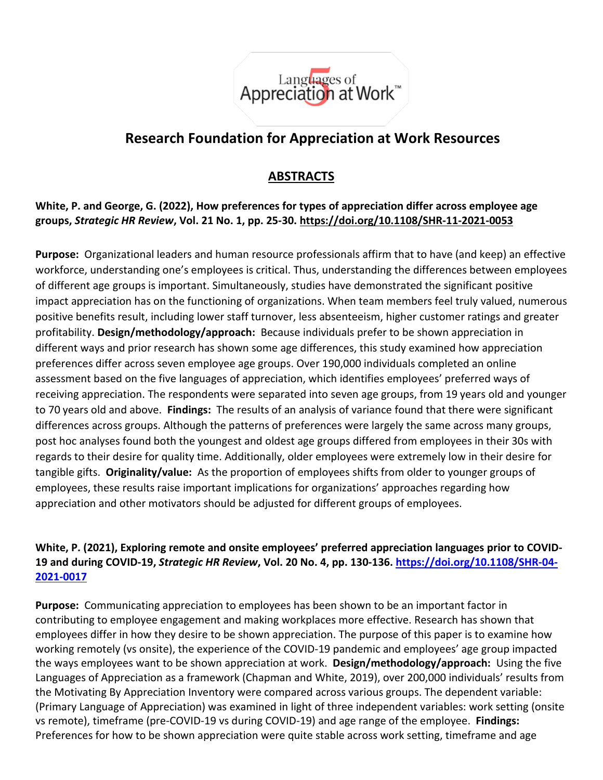

# **Research Foundation for Appreciation at Work Resources**

## **ABSTRACTS**

**[White, P.](https://www.emerald.com/insight/search?q=Paul%20White) and [George, G.](https://www.emerald.com/insight/search?q=Gene%20George) (2022), How preferences for types of appreciation differ across employee age groups,** *[Strategic HR Review](https://www.emerald.com/insight/publication/issn/1475-4398)***, Vol. 21 No. 1, pp. 25-30. <https://doi.org/10.1108/SHR-11-2021-0053>**

**Purpose:** Organizational leaders and human resource professionals affirm that to have (and keep) an effective workforce, understanding one's employees is critical. Thus, understanding the differences between employees of different age groups is important. Simultaneously, studies have demonstrated the significant positive impact appreciation has on the functioning of organizations. When team members feel truly valued, numerous positive benefits result, including lower staff turnover, less absenteeism, higher customer ratings and greater profitability. **Design/methodology/approach:** Because individuals prefer to be shown appreciation in different ways and prior research has shown some age differences, this study examined how appreciation preferences differ across seven employee age groups. Over 190,000 individuals completed an online assessment based on the five languages of appreciation, which identifies employees' preferred ways of receiving appreciation. The respondents were separated into seven age groups, from 19 years old and younger to 70 years old and above. **Findings:** The results of an analysis of variance found that there were significant differences across groups. Although the patterns of preferences were largely the same across many groups, post hoc analyses found both the youngest and oldest age groups differed from employees in their 30s with regards to their desire for quality time. Additionally, older employees were extremely low in their desire for tangible gifts. **Originality/value:** As the proportion of employees shifts from older to younger groups of employees, these results raise important implications for organizations' approaches regarding how appreciation and other motivators should be adjusted for different groups of employees.

### **[White, P.](https://www.emerald.com/insight/search?q=Paul%20White) (2021), Exploring remote and onsite employees' preferred appreciation languages prior to COVID-19 and during COVID-19,** *[Strategic HR Review](https://www.emerald.com/insight/publication/issn/1475-4398)***, Vol. 20 No. 4, pp. 130-136. [https://doi.org/10.1108/SHR-04-](https://doi.org/10.1108/SHR-04-2021-0017) [2021-0017](https://doi.org/10.1108/SHR-04-2021-0017)**

**Purpose:** Communicating appreciation to employees has been shown to be an important factor in contributing to employee engagement and making workplaces more effective. Research has shown that employees differ in how they desire to be shown appreciation. The purpose of this paper is to examine how working remotely (vs onsite), the experience of the COVID-19 pandemic and employees' age group impacted the ways employees want to be shown appreciation at work. **Design/methodology/approach:** Using the five Languages of Appreciation as a framework (Chapman and White, 2019), over 200,000 individuals' results from the Motivating By Appreciation Inventory were compared across various groups. The dependent variable: (Primary Language of Appreciation) was examined in light of three independent variables: work setting (onsite vs remote), timeframe (pre-COVID-19 vs during COVID-19) and age range of the employee. **Findings:**  Preferences for how to be shown appreciation were quite stable across work setting, timeframe and age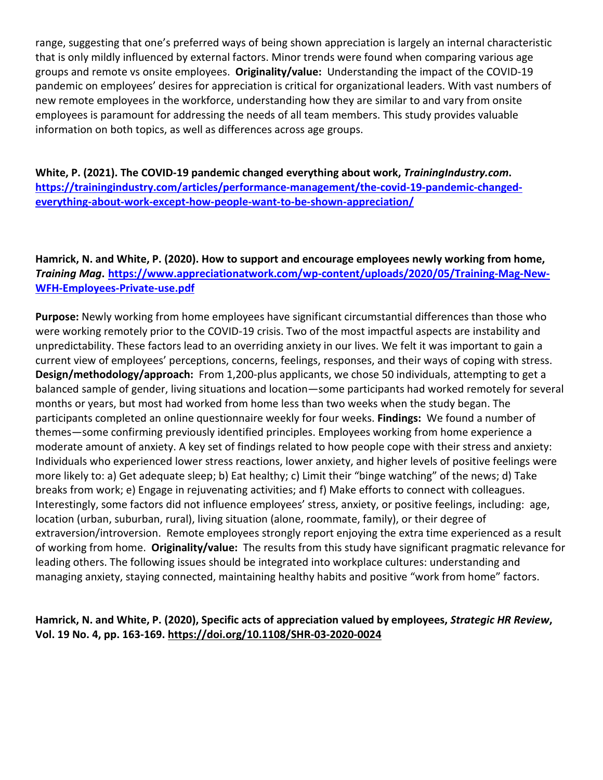range, suggesting that one's preferred ways of being shown appreciation is largely an internal characteristic that is only mildly influenced by external factors. Minor trends were found when comparing various age groups and remote vs onsite employees. **Originality/value:** Understanding the impact of the COVID-19 pandemic on employees' desires for appreciation is critical for organizational leaders. With vast numbers of new remote employees in the workforce, understanding how they are similar to and vary from onsite employees is paramount for addressing the needs of all team members. This study provides valuable information on both topics, as well as differences across age groups.

**White, P. (2021). The COVID-19 pandemic changed everything about work,** *TrainingIndustry.com***. [https://trainingindustry.com/articles/performance-management/the-covid-19-pandemic-changed](https://trainingindustry.com/articles/performance-management/the-covid-19-pandemic-changed-everything-about-work-except-how-people-want-to-be-shown-appreciation/)[everything-about-work-except-how-people-want-to-be-shown-appreciation/](https://trainingindustry.com/articles/performance-management/the-covid-19-pandemic-changed-everything-about-work-except-how-people-want-to-be-shown-appreciation/)**

**Hamrick, N. and White, P. (2020). How to support and encourage employees newly working from home,**  *Training Mag***. [https://www.appreciationatwork.com/wp-content/uploads/2020/05/Training-Mag-New-](https://www.appreciationatwork.com/wp-content/uploads/2020/05/Training-Mag-New-WFH-Employees-Private-use.pdf)[WFH-Employees-Private-use.pdf](https://www.appreciationatwork.com/wp-content/uploads/2020/05/Training-Mag-New-WFH-Employees-Private-use.pdf)**

**Purpose:** Newly working from home employees have significant circumstantial differences than those who were working remotely prior to the COVID-19 crisis. Two of the most impactful aspects are instability and unpredictability. These factors lead to an overriding anxiety in our lives. We felt it was important to gain a current view of employees' perceptions, concerns, feelings, responses, and their ways of coping with stress. **Design/methodology/approach:** From 1,200-plus applicants, we chose 50 individuals, attempting to get a balanced sample of gender, living situations and location—some participants had worked remotely for several months or years, but most had worked from home less than two weeks when the study began. The participants completed an online questionnaire weekly for four weeks. **Findings:** We found a number of themes—some confirming previously identified principles. Employees working from home experience a moderate amount of anxiety. A key set of findings related to how people cope with their stress and anxiety: Individuals who experienced lower stress reactions, lower anxiety, and higher levels of positive feelings were more likely to: a) Get adequate sleep; b) Eat healthy; c) Limit their "binge watching" of the news; d) Take breaks from work; e) Engage in rejuvenating activities; and f) Make efforts to connect with colleagues. Interestingly, some factors did not influence employees' stress, anxiety, or positive feelings, including: age, location (urban, suburban, rural), living situation (alone, roommate, family), or their degree of extraversion/introversion. Remote employees strongly report enjoying the extra time experienced as a result of working from home. **Originality/value:** The results from this study have significant pragmatic relevance for leading others. The following issues should be integrated into workplace cultures: understanding and managing anxiety, staying connected, maintaining healthy habits and positive "work from home" factors.

#### **[Hamrick, N.](https://www.emerald.com/insight/search?q=Natalie%20Hamrick) and [White, P.](https://www.emerald.com/insight/search?q=Paul%20White) (2020), Specific acts of appreciation valued by employees,** *[Strategic HR Review](https://www.emerald.com/insight/publication/issn/1475-4398)***, Vol. 19 No. 4, pp. 163-169. <https://doi.org/10.1108/SHR-03-2020-0024>**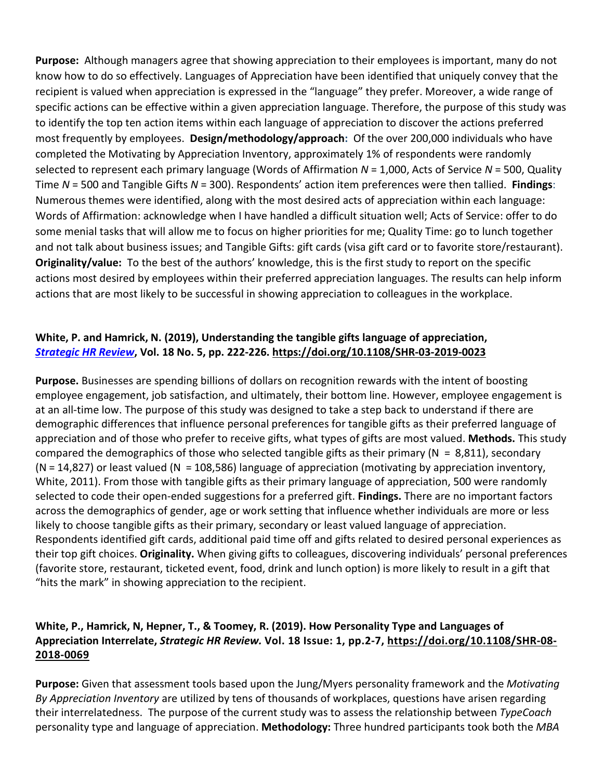**Purpose:** Although managers agree that showing appreciation to their employees is important, many do not know how to do so effectively. Languages of Appreciation have been identified that uniquely convey that the recipient is valued when appreciation is expressed in the "language" they prefer. Moreover, a wide range of specific actions can be effective within a given appreciation language. Therefore, the purpose of this study was to identify the top ten action items within each language of appreciation to discover the actions preferred most frequently by employees. **Design/methodology/approach:** Of the over 200,000 individuals who have completed the Motivating by Appreciation Inventory, approximately 1% of respondents were randomly selected to represent each primary language (Words of Affirmation *N* = 1,000, Acts of Service *N* = 500, Quality Time *N* = 500 and Tangible Gifts *N* = 300). Respondents' action item preferences were then tallied. **Findings**: Numerous themes were identified, along with the most desired acts of appreciation within each language: Words of Affirmation: acknowledge when I have handled a difficult situation well; Acts of Service: offer to do some menial tasks that will allow me to focus on higher priorities for me; Quality Time: go to lunch together and not talk about business issues; and Tangible Gifts: gift cards (visa gift card or to favorite store/restaurant). **Originality/value:** To the best of the authors' knowledge, this is the first study to report on the specific actions most desired by employees within their preferred appreciation languages. The results can help inform actions that are most likely to be successful in showing appreciation to colleagues in the workplace.

### **[White, P.](https://www.emerald.com/insight/search?q=Paul%20White) and [Hamrick, N.](https://www.emerald.com/insight/search?q=Natalie%20Hamrick) (2019), Understanding the tangible gifts language of appreciation,**  *Strategic HR Review***, Vol. 18 No. 5, pp. 222-226. <https://doi.org/10.1108/SHR-03-2019-0023>**

**Purpose.** Businesses are spending billions of dollars on recognition rewards with the intent of boosting employee engagement, job satisfaction, and ultimately, their bottom line. However, employee engagement is at an all-time low. The purpose of this study was designed to take a step back to understand if there are demographic differences that influence personal preferences for tangible gifts as their preferred language of appreciation and of those who prefer to receive gifts, what types of gifts are most valued. **Methods.** This study compared the demographics of those who selected tangible gifts as their primary ( $N = 8,811$ ), secondary  $(N = 14,827)$  or least valued  $(N = 108,586)$  language of appreciation (motivating by appreciation inventory, White, 2011). From those with tangible gifts as their primary language of appreciation, 500 were randomly selected to code their open-ended suggestions for a preferred gift. **Findings.** There are no important factors across the demographics of gender, age or work setting that influence whether individuals are more or less likely to choose tangible gifts as their primary, secondary or least valued language of appreciation. Respondents identified gift cards, additional paid time off and gifts related to desired personal experiences as their top gift choices. **Originality.** When giving gifts to colleagues, discovering individuals' personal preferences (favorite store, restaurant, ticketed event, food, drink and lunch option) is more likely to result in a gift that "hits the mark" in showing appreciation to the recipient.

### **White, P., Hamrick, N, Hepner, T., & Toomey, R. (2019). How Personality Type and Languages of Appreciation Interrelate,** *Strategic HR Review.* **Vol. 18 Issue: 1, pp.2-7, [https://doi.org/10.1108/SHR-08-](https://doi.org/10.1108/SHR-08-2018-0069) [2018-0069](https://doi.org/10.1108/SHR-08-2018-0069)**

**Purpose:** Given that assessment tools based upon the Jung/Myers personality framework and the *Motivating By Appreciation Inventory* are utilized by tens of thousands of workplaces, questions have arisen regarding their interrelatedness. The purpose of the current study was to assess the relationship between *TypeCoach*  personality type and language of appreciation. **Methodology:** Three hundred participants took both the *MBA*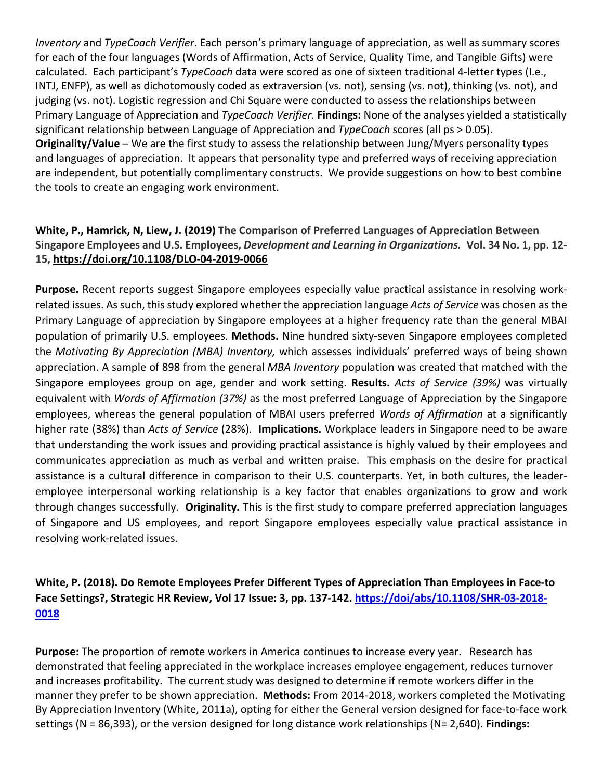*Inventory* and *TypeCoach Verifier*. Each person's primary language of appreciation, as well as summary scores for each of the four languages (Words of Affirmation, Acts of Service, Quality Time, and Tangible Gifts) were calculated. Each participant's *TypeCoach* data were scored as one of sixteen traditional 4-letter types (I.e., INTJ, ENFP), as well as dichotomously coded as extraversion (vs. not), sensing (vs. not), thinking (vs. not), and judging (vs. not). Logistic regression and Chi Square were conducted to assess the relationships between Primary Language of Appreciation and *TypeCoach Verifier.* **Findings:** None of the analyses yielded a statistically significant relationship between Language of Appreciation and *TypeCoach* scores (all ps > 0.05). **Originality/Value** – We are the first study to assess the relationship between Jung/Myers personality types and languages of appreciation. It appears that personality type and preferred ways of receiving appreciation are independent, but potentially complimentary constructs. We provide suggestions on how to best combine the tools to create an engaging work environment.

### **White, P., Hamrick, N, Liew, J. (2019) The Comparison of Preferred Languages of Appreciation Between Singapore Employees and U.S. Employees,** *Development and Learning in Organizations.* **Vol. 34 No. 1, pp. 12- 15,<https://doi.org/10.1108/DLO-04-2019-0066>**

**Purpose.** Recent reports suggest Singapore employees especially value practical assistance in resolving workrelated issues. As such, this study explored whether the appreciation language *Acts of Service* was chosen as the Primary Language of appreciation by Singapore employees at a higher frequency rate than the general MBAI population of primarily U.S. employees. **Methods.** Nine hundred sixty-seven Singapore employees completed the *Motivating By Appreciation (MBA) Inventory,* which assesses individuals' preferred ways of being shown appreciation. A sample of 898 from the general *MBA Inventory* population was created that matched with the Singapore employees group on age, gender and work setting. **Results.** *Acts of Service (39%)* was virtually equivalent with *Words of Affirmation (37%)* as the most preferred Language of Appreciation by the Singapore employees, whereas the general population of MBAI users preferred *Words of Affirmation* at a significantly higher rate (38%) than *Acts of Service* (28%). **Implications.** Workplace leaders in Singapore need to be aware that understanding the work issues and providing practical assistance is highly valued by their employees and communicates appreciation as much as verbal and written praise. This emphasis on the desire for practical assistance is a cultural difference in comparison to their U.S. counterparts. Yet, in both cultures, the leaderemployee interpersonal working relationship is a key factor that enables organizations to grow and work through changes successfully. **Originality.** This is the first study to compare preferred appreciation languages of Singapore and US employees, and report Singapore employees especially value practical assistance in resolving work-related issues.

## **White, P. (2018). Do Remote Employees Prefer Different Types of Appreciation Than Employees in Face-to Face Settings?, Strategic HR Review, Vol 17 Issue: 3, pp. 137-142. [https://doi/abs/10.1108/SHR-03-2018-](https://doi/abs/10.1108/SHR-03-2018-0018) [0018](https://doi/abs/10.1108/SHR-03-2018-0018)**

**Purpose:** The proportion of remote workers in America continues to increase every year. Research has demonstrated that feeling appreciated in the workplace increases employee engagement, reduces turnover and increases profitability. The current study was designed to determine if remote workers differ in the manner they prefer to be shown appreciation. **Methods:** From 2014-2018, workers completed the Motivating By Appreciation Inventory (White, 2011a), opting for either the General version designed for face-to-face work settings (N = 86,393), or the version designed for long distance work relationships (N= 2,640). **Findings:**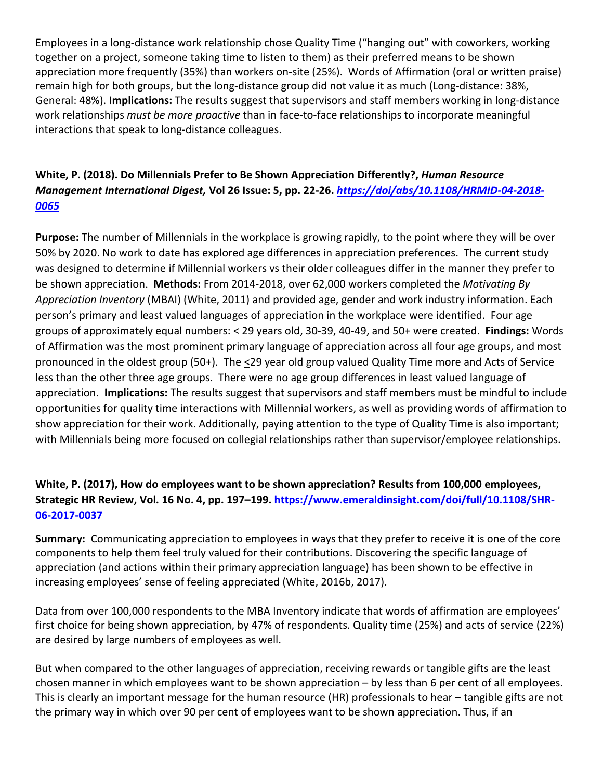Employees in a long-distance work relationship chose Quality Time ("hanging out" with coworkers, working together on a project, someone taking time to listen to them) as their preferred means to be shown appreciation more frequently (35%) than workers on-site (25%). Words of Affirmation (oral or written praise) remain high for both groups, but the long-distance group did not value it as much (Long-distance: 38%, General: 48%). **Implications:** The results suggest that supervisors and staff members working in long-distance work relationships *must be more proactive* than in face-to-face relationships to incorporate meaningful interactions that speak to long-distance colleagues.

## **White, P. (2018). Do Millennials Prefer to Be Shown Appreciation Differently?,** *Human Resource Management International Digest,* **Vol 26 Issue: 5, pp. 22-26.** *[https://doi/abs/10.1108/HRMID-04-2018-](https://doi/abs/10.1108/HRMID-04-2018-0065) [0065](https://doi/abs/10.1108/HRMID-04-2018-0065)*

**Purpose:** The number of Millennials in the workplace is growing rapidly, to the point where they will be over 50% by 2020. No work to date has explored age differences in appreciation preferences. The current study was designed to determine if Millennial workers vs their older colleagues differ in the manner they prefer to be shown appreciation. **Methods:** From 2014-2018, over 62,000 workers completed the *Motivating By Appreciation Inventory* (MBAI) (White, 2011) and provided age, gender and work industry information. Each person's primary and least valued languages of appreciation in the workplace were identified. Four age groups of approximately equal numbers: < 29 years old, 30-39, 40-49, and 50+ were created. **Findings:** Words of Affirmation was the most prominent primary language of appreciation across all four age groups, and most pronounced in the oldest group (50+). The <29 year old group valued Quality Time more and Acts of Service less than the other three age groups. There were no age group differences in least valued language of appreciation. **Implications:** The results suggest that supervisors and staff members must be mindful to include opportunities for quality time interactions with Millennial workers, as well as providing words of affirmation to show appreciation for their work. Additionally, paying attention to the type of Quality Time is also important; with Millennials being more focused on collegial relationships rather than supervisor/employee relationships.

## **White, P. (2017), How do employees want to be shown appreciation? Results from 100,000 employees, Strategic HR Review, Vol. 16 No. 4, pp. 197–199. [https://www.emeraldinsight.com/doi/full/10.1108/SHR-](https://www.emeraldinsight.com/doi/full/10.1108/SHR-06-2017-0037)[06-2017-0037](https://www.emeraldinsight.com/doi/full/10.1108/SHR-06-2017-0037)**

**Summary:** Communicating appreciation to employees in ways that they prefer to receive it is one of the core components to help them feel truly valued for their contributions. Discovering the specific language of appreciation (and actions within their primary appreciation language) has been shown to be effective in increasing employees' sense of feeling appreciated (White, 2016b, 2017).

Data from over 100,000 respondents to the MBA Inventory indicate that words of affirmation are employees' first choice for being shown appreciation, by 47% of respondents. Quality time (25%) and acts of service (22%) are desired by large numbers of employees as well.

But when compared to the other languages of appreciation, receiving rewards or tangible gifts are the least chosen manner in which employees want to be shown appreciation – by less than 6 per cent of all employees. This is clearly an important message for the human resource (HR) professionals to hear – tangible gifts are not the primary way in which over 90 per cent of employees want to be shown appreciation. Thus, if an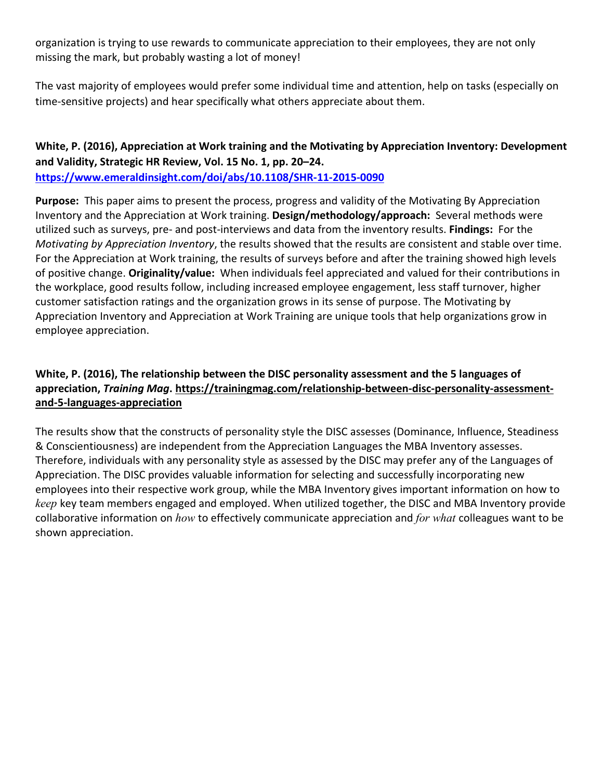organization is trying to use rewards to communicate appreciation to their employees, they are not only missing the mark, but probably wasting a lot of money!

The vast majority of employees would prefer some individual time and attention, help on tasks (especially on time-sensitive projects) and hear specifically what others appreciate about them.

**White, P. (2016), Appreciation at Work training and the Motivating by Appreciation Inventory: Development and Validity, Strategic HR Review, Vol. 15 No. 1, pp. 20–24. <https://www.emeraldinsight.com/doi/abs/10.1108/SHR-11-2015-0090>**

**Purpose:** This paper aims to present the process, progress and validity of the Motivating By Appreciation Inventory and the Appreciation at Work training. **Design/methodology/approach:** Several methods were utilized such as surveys, pre- and post-interviews and data from the inventory results. **Findings:** For the *Motivating by Appreciation Inventory*, the results showed that the results are consistent and stable over time. For the Appreciation at Work training, the results of surveys before and after the training showed high levels of positive change. **Originality/value:** When individuals feel appreciated and valued for their contributions in the workplace, good results follow, including increased employee engagement, less staff turnover, higher customer satisfaction ratings and the organization grows in its sense of purpose. The Motivating by Appreciation Inventory and Appreciation at Work Training are unique tools that help organizations grow in employee appreciation.

## **White, P. (2016), The relationship between the DISC personality assessment and the 5 languages of appreciation,** *Training Mag***. https://trainingmag.com/relationship-between-disc-personality-assessmentand-5-languages-appreciation**

The results show that the constructs of personality style the DISC assesses (Dominance, Influence, Steadiness & Conscientiousness) are independent from the Appreciation Languages the MBA Inventory assesses. Therefore, individuals with any personality style as assessed by the DISC may prefer any of the Languages of Appreciation. The DISC provides valuable information for selecting and successfully incorporating new employees into their respective work group, while the MBA Inventory gives important information on how to *keep* key team members engaged and employed. When utilized together, the DISC and MBA Inventory provide collaborative information on *how* to effectively communicate appreciation and *for what* colleagues want to be shown appreciation.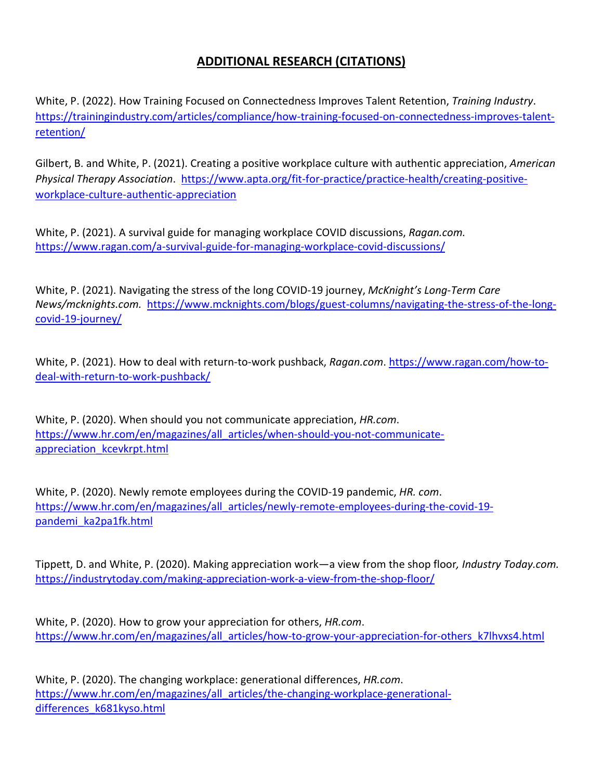## **ADDITIONAL RESEARCH (CITATIONS)**

White, P. (2022). How Training Focused on Connectedness Improves Talent Retention, *Training Industry*. [https://trainingindustry.com/articles/compliance/how-training-focused-on-connectedness-improves-talent](https://trainingindustry.com/articles/compliance/how-training-focused-on-connectedness-improves-talent-retention/)[retention/](https://trainingindustry.com/articles/compliance/how-training-focused-on-connectedness-improves-talent-retention/)

Gilbert, B. and White, P. (2021). Creating a positive workplace culture with authentic appreciation, *American Physical Therapy Association*. [https://www.apta.org/fit-for-practice/practice-health/creating-positive](https://www.apta.org/fit-for-practice/practice-health/creating-positive-workplace-culture-authentic-appreciation)[workplace-culture-authentic-appreciation](https://www.apta.org/fit-for-practice/practice-health/creating-positive-workplace-culture-authentic-appreciation) 

White, P. (2021). A survival guide for managing workplace COVID discussions, *Ragan.com.* <https://www.ragan.com/a-survival-guide-for-managing-workplace-covid-discussions/>

White, P. (2021). Navigating the stress of the long COVID-19 journey, *McKnight's Long-Term Care News/mcknights.com.* [https://www.mcknights.com/blogs/guest-columns/navigating-the-stress-of-the-long](https://www.mcknights.com/blogs/guest-columns/navigating-the-stress-of-the-long-covid-19-journey/)[covid-19-journey/](https://www.mcknights.com/blogs/guest-columns/navigating-the-stress-of-the-long-covid-19-journey/)

White, P. (2021). How to deal with return-to-work pushback, *Ragan.com*. [https://www.ragan.com/how-to](https://www.ragan.com/how-to-deal-with-return-to-work-pushback/)[deal-with-return-to-work-pushback/](https://www.ragan.com/how-to-deal-with-return-to-work-pushback/)

White, P. (2020). When should you not communicate appreciation, *HR.com*. [https://www.hr.com/en/magazines/all\\_articles/when-should-you-not-communicate](https://www.hr.com/en/magazines/all_articles/when-should-you-not-communicate-appreciation_kcevkrpt.html)appreciation kcevkrpt.html

White, P. (2020). Newly remote employees during the COVID-19 pandemic, *HR. com*. [https://www.hr.com/en/magazines/all\\_articles/newly-remote-employees-during-the-covid-19](https://www.hr.com/en/magazines/all_articles/newly-remote-employees-during-the-covid-19-pandemi_ka2pa1fk.html) [pandemi\\_ka2pa1fk.html](https://www.hr.com/en/magazines/all_articles/newly-remote-employees-during-the-covid-19-pandemi_ka2pa1fk.html)

Tippett, D. and White, P. (2020). Making appreciation work—a view from the shop floor*, Industry Today.com.* <https://industrytoday.com/making-appreciation-work-a-view-from-the-shop-floor/>

White, P. (2020). How to grow your appreciation for others, *HR.com*. [https://www.hr.com/en/magazines/all\\_articles/how-to-grow-your-appreciation-for-others\\_k7l](https://www.hr.com/en/magazines/all_articles/how-to-grow-your-appreciation-for-others_k7lhvxs4.html)hvxs4.html

White, P. (2020). The changing workplace: generational differences, *HR.com*. [https://www.hr.com/en/magazines/all\\_articles/the-changing-workplace-generational](https://www.hr.com/en/magazines/all_articles/the-changing-workplace-generational-differences_k681kyso.html)[differences\\_k681kyso.html](https://www.hr.com/en/magazines/all_articles/the-changing-workplace-generational-differences_k681kyso.html)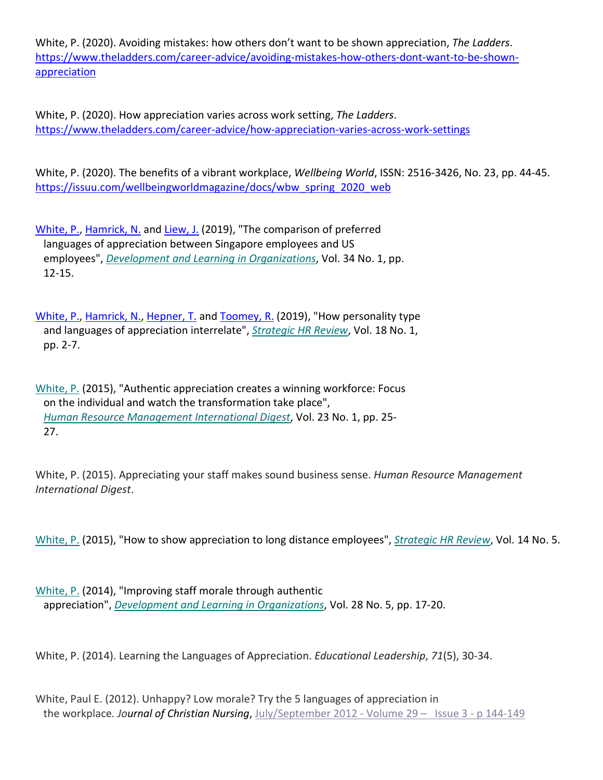White, P. (2020). Avoiding mistakes: how others don't want to be shown appreciation, *The Ladders*. [https://www.theladders.com/career-advice/avoiding-mistakes-how-others-dont-want-to-be-shown](https://www.theladders.com/career-advice/avoiding-mistakes-how-others-dont-want-to-be-shown-appreciation)[appreciation](https://www.theladders.com/career-advice/avoiding-mistakes-how-others-dont-want-to-be-shown-appreciation)

White, P. (2020). How appreciation varies across work setting, *The Ladders*. <https://www.theladders.com/career-advice/how-appreciation-varies-across-work-settings>

White, P. (2020). The benefits of a vibrant workplace, *Wellbeing World*, ISSN: 2516-3426, No. 23, pp. 44-45. [https://issuu.com/wellbeingworldmagazine/docs/wbw\\_spring\\_2020\\_web](https://issuu.com/wellbeingworldmagazine/docs/wbw_spring_2020_web)

[White, P.,](https://www.emerald.com/insight/search?q=Paul%20White) [Hamrick, N.](https://www.emerald.com/insight/search?q=Natalie%20Hamrick) and [Liew, J.](https://www.emerald.com/insight/search?q=Jasmine%20Liew) (2019), "The comparison of preferred languages of appreciation between Singapore employees and US employees", *[Development and Learning in Organizations](https://www.emerald.com/insight/publication/issn/1477-7282)*, Vol. 34 No. 1, pp. 12-15.

[White, P.,](https://www.emerald.com/insight/search?q=Paul%20White) [Hamrick, N.,](https://www.emerald.com/insight/search?q=Natalie%20Hamrick) [Hepner, T.](https://www.emerald.com/insight/search?q=Tim%20Hepner) and [Toomey, R.](https://www.emerald.com/insight/search?q=Rob%20Toomey) (2019), "How personality type and languages of appreciation interrelate", *[Strategic HR Review](https://www.emerald.com/insight/publication/issn/1475-4398)*, Vol. 18 No. 1, pp. 2-7.

[White, P.](https://www.emerald.com/insight/search?q=Paul%20White) (2015), "Authentic appreciation creates a winning workforce: Focus on the individual and watch the transformation take place", *[Human Resource Management International Digest](https://www.emerald.com/insight/publication/issn/0967-0734)*, Vol. 23 No. 1, pp. 25- 27.

White, P. (2015). Appreciating your staff makes sound business sense. *Human Resource Management International Digest*.

[White, P.](https://www.emerald.com/insight/search?q=Paul%20White) (2015), "How to show appreciation to long distance employees", *[Strategic HR Review](https://www.emerald.com/insight/publication/issn/1475-4398)*, Vol. 14 No. 5.

[White, P.](https://www.emerald.com/insight/search?q=Paul%20White) (2014), "Improving staff morale through authentic appreciation", *[Development and Learning in Organizations](https://www.emerald.com/insight/publication/issn/1477-7282)*, Vol. 28 No. 5, pp. 17-20.

White, P. (2014). Learning the Languages of Appreciation. *Educational Leadership*, *71*(5), 30-34.

White, Paul E. (2012). Unhappy? Low morale? Try the 5 languages of appreciation in the workplace*. Journal of Christian Nursing*, [July/September 2012 - Volume 29 – Issue 3 -](https://journals.lww.com/journalofchristiannursing/toc/2012/09000) p 144-149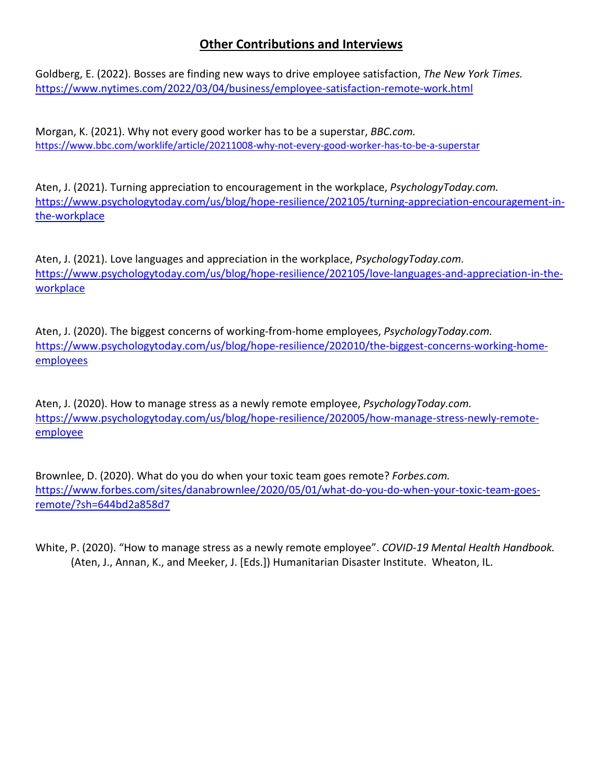## **Other Contributions and Interviews**

Goldberg, E. (2022). Bosses are finding new ways to drive employee satisfaction, *The New York Times.* [https://www.nytimes.com/2022/03/04/business/employee](https://www.nytimes.com/2022/03/04/business/employee-satisfaction-remote-work.html)-satisfaction-remote-work.html

Morgan, K. (2021). Why not every good worker has to be a superstar, *BBC.com.* https://www.bbc.com/worklife/article/20211008[-why-not-every-good-worker-has-to-be-a-superstar](https://www.bbc.com/worklife/article/20211008-why-not-every-good-worker-has-to-be-a-superstar)

Aten, J. (2021). Turning appreciation to encouragement in the workplace, *PsychologyToday.com.* [https://www.psychologytoday.com/us/blog/hope-resilience/202105/turning-appreciation-encouragement-in](https://www.psychologytoday.com/us/blog/hope-resilience/202105/turning-appreciation-encouragement-in-the-workplace)[the-workplace](https://www.psychologytoday.com/us/blog/hope-resilience/202105/turning-appreciation-encouragement-in-the-workplace)

Aten, J. (2021). Love languages and appreciation in the workplace, *PsychologyToday.com.* [https://www.psychologytoday.com/us/blog/hope-resilience/202105/love-languages-and-appreciation-in-the](https://www.psychologytoday.com/us/blog/hope-resilience/202105/love-languages-and-appreciation-in-the-workplace)[workplace](https://www.psychologytoday.com/us/blog/hope-resilience/202105/love-languages-and-appreciation-in-the-workplace)

Aten, J. (2020). The biggest concerns of working-from-home employees, *PsychologyToday.com.* [https://www.psychologytoday.com/us/blog/hope-resilience/202010/the-biggest-concerns-working-home](https://www.psychologytoday.com/us/blog/hope-resilience/202010/the-biggest-concerns-working-home-employees)[employees](https://www.psychologytoday.com/us/blog/hope-resilience/202010/the-biggest-concerns-working-home-employees)

Aten, J. (2020). How to manage stress as a newly remote employee, *PsychologyToday.com.* [https://www.psychologytoday.com/us/blog/hope-resilience/202005/how-manage-stress-newly-remote](https://www.psychologytoday.com/us/blog/hope-resilience/202005/how-manage-stress-newly-remote-employee)[employee](https://www.psychologytoday.com/us/blog/hope-resilience/202005/how-manage-stress-newly-remote-employee)

Brownlee, D. (2020). What do you do when your toxic team goes remote? *Forbes.com.* [https://www.forbes.com/sites/danabrownlee/2020/05/01/what-do-you-do-when-your-toxic-team-goes](https://www.forbes.com/sites/danabrownlee/2020/05/01/what-do-you-do-when-your-toxic-team-goes-remote/?sh=644bd2a858d7)[remote/?sh=644bd2a858d7](https://www.forbes.com/sites/danabrownlee/2020/05/01/what-do-you-do-when-your-toxic-team-goes-remote/?sh=644bd2a858d7)

White, P. (2020). "How to manage stress as a newly remote employee". *COVID-19 Mental Health Handbook.*  (Aten, J., Annan, K., and Meeker, J. [Eds.]) Humanitarian Disaster Institute. Wheaton, IL.